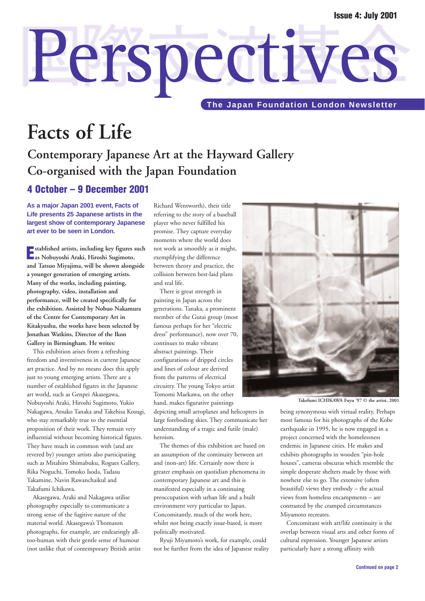# Perspectives **The Japan Foundation London Newsletter**

# **Facts of Life**

## **Contemporary Japanese Art at the Hayward Gallery Co-organised with the Japan Foundation**

### **4 October – 9 December 2001**

**As a major Japan 2001 event, Facts of Life presents 25 Japanese artists in the largest show of contemporary Japanese art ever to be seen in London.**

**E stablished artists, including key figures such as Nobuyoshi Araki, Hiroshi Sugimoto, and Tatsuo Miyajima, will be shown alongside a younger generation of emerging artists. Many of the works, including painting, photography, video, installation and performance, will be created specifically for the exhibition. Assisted by Nobuo Nakamura of the Centre for Contemporary Art in Kitakyushu, the works have been selected by Jonathan Watkins, Director of the Ikon Gallery in Birmingham. He writes:**

This exhibition arises from a refreshing freedom and inventiveness in current Japanese art practice. And by no means does this apply just to young emerging artists. There are a number of established figures in the Japanese art world, such as Genpei Akasegawa, Nobuyoshi Araki, Hiroshi Sugimoto, Yukio Nakagawa, Atsuko Tanaka and Takehisa Kosugi, who stay remarkably true to the essential proposition of their work. They remain very influential without becoming historical figures. They have much in common with (and are revered by) younger artists also participating such as Mitahiro Shimabuku, Rogues Gallery, Rika Noguchi, Tomoko Isoda, Tadasu Takamine, Navin Rawanchaikul and Takafumi Ichikawa.

Akasegawa, Araki and Nakagawa utilise photography especially to communicate a strong sense of the fugitive nature of the material world. Akasegawa's Thomason photographs, for example, are endearingly alltoo-human with their gentle sense of humour (not unlike that of contemporary British artist Richard Wentworth), their title referring to the story of a baseball player who never fulfilled his promise. They capture everyday moments where the world does not work as smoothly as it might, exemplifying the difference between theory and practice, the collision between best-laid plans and real life.

There is great strength in painting in Japan across the generations. Tanaka, a prominent member of the Gutai group (most famous perhaps for her "electric dress" performance), now over 70, continues to make vibrant abstract paintings. Their configurations of dripped circles and lines of colour are derived from the patterns of electrical circuitry. The young Tokyo artist Tomomi Maekawa, on the other hand, makes figurative paintings depicting small aeroplanes and helicopters in

large foreboding skies. They communicate her understanding of a tragic and futile (male) heroism.

The themes of this exhibition are based on an assumption of the continuity between art and (non-art) life. Certainly now there is greater emphasis on quotidian phenomena in contemporary Japanese art and this is manifested especially in a continuing preoccupation with urban life and a built environment very particular to Japan. Concomitantly, much of the work here, whilst not being exactly issue-based, is more politically motivated.

Ryuji Miyamoto's work, for example, could not be further from the idea of Japanese reality



**Takefumi ICHIKAWA Fuyu '97 © the artist, 2001**

being synonymous with virtual reality. Perhaps most famous for his photographs of the Kobe earthquake in 1995, he is now engaged in a project concerned with the homelessness endemic in Japanese cities. He makes and exhibits photographs in wooden "pin-hole houses", cameras obscuras which resemble the simple desperate shelters made by those with nowhere else to go. The extensive (often beautiful) views they embody – the actual views from homeless encampments – are contrasted by the cramped circumstances Miyamoto recreates.

Concomitant with art/life continuity is the overlap between visual arts and other forms of cultural expression. Younger Japanese artists particularly have a strong affinity with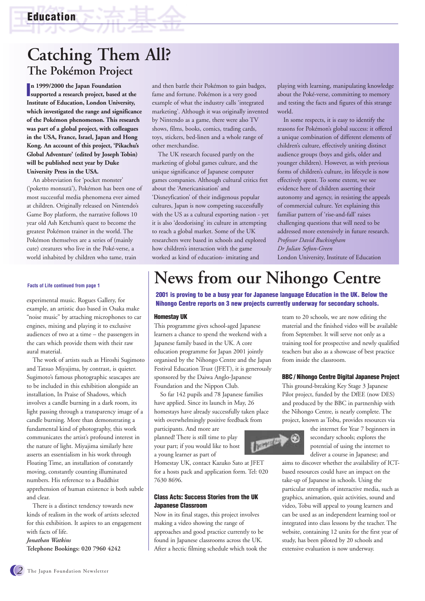# **Catching Them All? The Pokémon Project**

**I supported a research project, based at the n 1999/2000 the Japan Foundation Institute of Education, London University, which investigated the range and significance of the Pokémon phenomenon. This research was part of a global project, with colleagues in the USA, France, Israel, Japan and Hong Kong. An account of this project, 'Pikachu's Global Adventure' (edited by Joseph Tobin) will be published next year by Duke University Press in the USA.**

An abbreviation for 'pocket monster' ('poketto monsutä'), Pokémon has been one of most successful media phenomena ever aimed at children. Originally released on Nintendo's Game Boy platform, the narrative follows 10 year old Ash Ketchum's quest to become the greatest Pokémon trainer in the world. The Pokémon themselves are a series of (mainly cute) creatures who live in the Poké-verse, a world inhabited by children who tame, train

#### **Facts of Life continued from page 1**

example, an artistic duo based in Osaka make "noise music" by attaching microphones to car engines, mixing and playing it to exclusive audiences of two at a time – the passengers in the cars which provide them with their raw aural material.

The work of artists such as Hiroshi Sugimoto and Tatsuo Miyajima, by contrast, is quieter. Sugimoto's famous photographic seascapes are to be included in this exhibition alongside an installation, In Praise of Shadows, which involves a candle burning in a dark room, its light passing through a transparency image of a candle burning. More than demonstrating a fundamental kind of photography, this work communicates the artist's profound interest in the nature of light. Miyajima similarly here asserts an essentialism in his work through Floating Time, an installation of constantly moving, constantly counting illuminated numbers. His reference to a Buddhist apprehension of human existence is both subtle and clear.

There is a distinct tendency towards new kinds of realism in the work of artists selected for this exhibition. It aspires to an engagement with facts of life.

*Jonathan Watkins* **Telephone Bookings: 020 7960 4242**  and then battle their Pokémon to gain badges, fame and fortune. Pokémon is a very good example of what the industry calls 'integrated marketing'. Although it was originally invented by Nintendo as a game, there were also TV shows, films, books, comics, trading cards, toys, stickers, bed-linen and a whole range of other merchandise.

The UK research focused partly on the marketing of global games culture, and the unique significance of Japanese computer games companies. Although cultural critics fret about the 'Americanisation' and 'Disneyfication' of their indigenous popular cultures, Japan is now competing successfully with the US as a cultural exporting nation - yet it is also 'deodorising' its culture in attempting to reach a global market. Some of the UK researchers were based in schools and explored how children's interaction with the game worked as kind of education- imitating and

playing with learning, manipulating knowledge about the Poké-verse, committing to memory and testing the facts and figures of this strange world.

In some respects, it is easy to identify the reasons for Pokémon's global success: it offered a unique combination of different elements of children's culture, effectively uniting distinct audience groups (boys and girls, older and younger children). However, as with previous forms of children's culture, its lifecycle is now effectively spent. To some extent, we see evidence here of children asserting their autonomy and agency, in resisting the appeals of commercial culture. Yet explaining this familiar pattern of 'rise-and-fall' raises challenging questions that will need to be addressed more extensively in future research. *Professor David Buckingham Dr Julian Sefton-Green*

London University, Institute of Education

# **News from our Nihongo Centre**

**2001 is proving to be a busy year for Japanese language Education in the UK. Below the** experimental music. Rogues Gallery, for **Nihongo Centre reports on 3 new projects currently underway for secondary schools.** 

#### **Homestay UK**

This programme gives school-aged Japanese learners a chance to spend the weekend with a Japanese family based in the UK. A core education programme for Japan 2001 jointly organised by the Nihongo Centre and the Japan Festival Education Trust (JFET), it is generously sponsored by the Daiwa Anglo-Japanese Foundation and the Nippon Club.

So far 142 pupils and 78 Japanese families have applied. Since its launch in May, 26 homestays have already successfully taken place with overwhelmingly positive feedback from

participants. And more are planned! There is still time to play your part; if you would like to host a young learner as part of

Homestay UK, contact Kazuko Sato at JFET for a hosts pack and application form. Tel: 020 7630 8696.

#### **Class Acts: Success Stories from the UK Japanese Classroom**

Now in its final stages, this project involves making a video showing the range of approaches and good practice currently to be found in Japanese classrooms across the UK. After a hectic filming schedule which took the team to 20 schools, we are now editing the material and the finished video will be available from September. It will serve not only as a training tool for prospective and newly qualified teachers but also as a showcase of best practice from inside the classroom.

#### **BBC / Nihongo Centre Digital Japanese Project**

This ground-breaking Key Stage 3 Japanese Pilot project, funded by the DfEE (now DES) and produced by the BBC in partnership with the Nihongo Centre, is nearly complete. The project, known as Tobu, provides resources via



the internet for Year 7 beginners in secondary schools; explores the potential of using the internet to deliver a course in Japanese; and

aims to discover whether the availability of ICTbased resources could have an impact on the take-up of Japanese in schools. Using the particular strengths of interactive media, such as graphics, animation, quiz activities, sound and video, Tobu will appeal to young learners and can be used as an independent learning tool or integrated into class lessons by the teacher. The website, containing 12 units for the first year of study, has been piloted by 20 schools and extensive evaluation is now underway.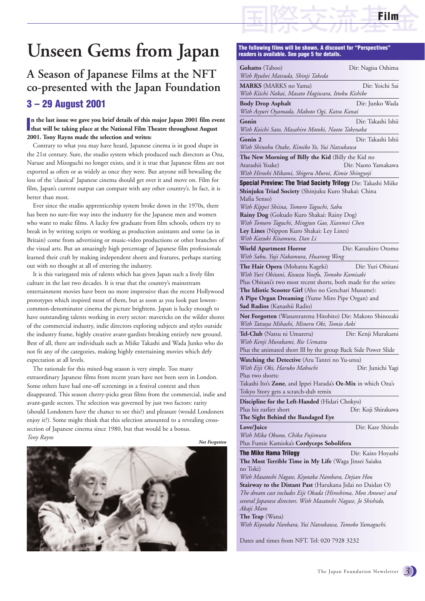

# **Unseen Gems from Japan**

### **A Season of Japanese Films at the NFT co-presented with the Japan Foundation 3 – 29 August 2001**

#### In the last issue we gave you brief details of this major Japan 2001 film eva<br>that will be taking place at the National Film Theatre throughout August **n the last issue we gave you brief details of this major Japan 2001 film event 2001. Tony Rayns made the selection and writes:**

Contrary to what you may have heard, Japanese cinema is in good shape in the 21st century. Sure, the studio system which produced such directors as Ozu, Naruse and Mizoguchi no longer exists, and it is true that Japanese films are not exported as often or as widely as once they were. But anyone still bewailing the loss of the 'classical' Japanese cinema should get over it and move on. Film for film, Japan's current output can compare with any other country's. In fact, it is better than most.

Ever since the studio apprenticeship system broke down in the 1970s, there has been no sure-fire way into the industry for the Japanese men and women who want to make films. A lucky few graduate from film schools, others try to break in by writing scripts or working as production assistants and some (as in Britain) come from advertising or music-video productions or other branches of the visual arts. But an amazingly high percentage of Japanese film professionals learned their craft by making independent shorts and features, perhaps starting out with no thought at all of entering the industry.

It is this variegated mix of talents which has given Japan such a lively film culture in the last two decades. It is true that the country's mainstream entertainment movies have been no more impressive than the recent Hollywood prototypes which inspired most of them, but as soon as you look past lowestcommon-denominator cinema the picture brightens. Japan is lucky enough to have outstanding talents working in every sector: mavericks on the wilder shores of the commercial industry, indie directors exploring subjects and styles outside the industry frame, highly creative avant-gardists breaking entirely new ground. Best of all, there are individuals such as Miike Takashi and Wada Junko who do not fit any of the categories, making highly entertaining movies which defy expectation at all levels.

The rationale for this mixed-bag season is very simple. Too many extraordinary Japanese films from recent years have not been seen in London. Some others have had one-off screenings in a festival context and then disappeared. This season cherry-picks great films from the commercial, indie and avant-garde sectors. The selection was governed by just two factors: rarity (should Londoners have the chance to see this?) and pleasure (would Londoners enjoy it?). Some might think that this selection amounted to a revealing crosssection of Japanese cinema since 1980, but that would be a bonus. *Tony Rayns*



### **The following films will be shown. A discount for "Perspectives"**

| <b>Gohatto</b> (Taboo)                                                                                                      | Dir: Nagisa Oshima   |
|-----------------------------------------------------------------------------------------------------------------------------|----------------------|
| With Ryuhei Matsuda, Shinji Takeda                                                                                          |                      |
| <b>MARKS</b> (MARKS no Yama)                                                                                                | Dir: Yoichi Sai      |
| With Kiichi Nakai, Masato Hagiwara, Ittoku Kishibe                                                                          |                      |
| <b>Body Drop Asphalt</b><br>With Asyuri Oyamada, Makoto Ogi, Katsu Kanai                                                    | Dir: Junko Wada      |
| Gonin                                                                                                                       | Dir: Takashi Ishii   |
| With Koichi Sato, Masahiro Motoki, Naoto Takenaka                                                                           |                      |
| Gonin 2<br>With Shinobu Otake, Kimiko Yo, Yui Natsukawa                                                                     | Dir: Takashi Ishii   |
| <b>The New Morning of Billy the Kid</b> (Billy the Kid no                                                                   |                      |
| Atarashii Yoake)                                                                                                            | Dir: Naoto Yamakawa  |
| With Hiroshi Mikami, Shigeru Muroi, Kimie Shingyoji                                                                         |                      |
| <b>Special Preview: The Triad Society Trilogy</b> Dir: Takashi Miike<br>Shinjuku Triad Society (Shinjuku Kuro Shakai: China |                      |
| Mafia Senso)                                                                                                                |                      |
| With Kippei Shiina, Tomoro Taguchi, Sabu<br>Rainy Dog (Gokudo Kuro Shakai: Rainy Dog)                                       |                      |
| With Tomoro Taguchi, Mingjun Gao, Xianmei Chen                                                                              |                      |
| Ley Lines (Nippon Kuro Shakai: Ley Lines)                                                                                   |                      |
| With Kazuki Kitamura, Dan Li                                                                                                |                      |
| <b>World Apartment Horror</b>                                                                                               | Dir: Katsuhiro Otomo |
| With Sabu, Yuji Nakamura, Huarong Weng                                                                                      |                      |
| The Hair Opera (Mohatsu Kageki)                                                                                             | Dir: Yuri Obitani    |
| With Yuri Obitani, Kosuzu Yosefu, Tomoko Kamisaki                                                                           |                      |
| Plus Obitani's two most recent shorts, both made for the series:                                                            |                      |
| The Idiotic Scooter Girl (Aho no Genchari Musume):                                                                          |                      |
| A Pipe Organ Dreaming (Yume Miro Pipe Organ) and                                                                            |                      |
| Sad Radios (Kanashii Radio)                                                                                                 |                      |
| <b>Not Forgotten</b> (Wasurerarenu Hitobito) Dir: Makoto Shinozaki                                                          |                      |
| With Tatsuya Mihashi, Minoru Oki, Tomio Aoki                                                                                |                      |
| Tel-Club (Natsu ni Umareru)                                                                                                 | Dir: Kenji Murakami  |
| With Kenji Murakami, Rie Uematsu                                                                                            |                      |
| Plus the animated short Ill by the group Back Side Power Slide                                                              |                      |
| Watching the Detective (Aru Tantei no Yu-utsu)                                                                              |                      |
| With Eiji Oki, Haruko Mabuchi<br>Plus two shorts:                                                                           | Dir: Junichi Yagi    |
| Takashi Ito's Zone, and Ippei Harada's Oz-Mix in which Ozu's                                                                |                      |
| Tokyo Story gets a scratch-dub remix                                                                                        |                      |
|                                                                                                                             |                      |
| <b>Discipline for the Left-Handed</b> (Hidari Chokyo)                                                                       |                      |
| Plus his earlier short<br>The Sight Behind the Bandaged Eye                                                                 | Dir: Koji Shirakawa  |
| Love/Juice                                                                                                                  | Dir: Kaze Shindo     |
| With Mika Okuno, Chika Fujimura                                                                                             |                      |
| Plus Fumie Kamioka's Cordyceps Sobolifera                                                                                   |                      |
| <b>The Mike Hama Trilogy</b>                                                                                                | Dir: Kaizo Hoyashi   |
| The Most Terrible Time in My Life (Waga Jinsei Saiaku                                                                       |                      |
| no Toki)                                                                                                                    |                      |
| With Masatoshi Nagase, Kiyotaka Nambara, Dejian Hou                                                                         |                      |
| Stairway to the Distant Past (Harukana Jidai no Daidan O)                                                                   |                      |
|                                                                                                                             |                      |
| The dream cast includes Eiji Okada (Hiroshima, Mon Amour) and                                                               |                      |
| several Japanese directors. With Masatoshi Nagase, Jo Shishido,<br>Akaji Maro                                               |                      |

*With Kiyotaka Nanbara, Yui Natsukawa, Tomoko Yamaguchi.* 

Dates and times from NFT. Tel: 020 7928 3232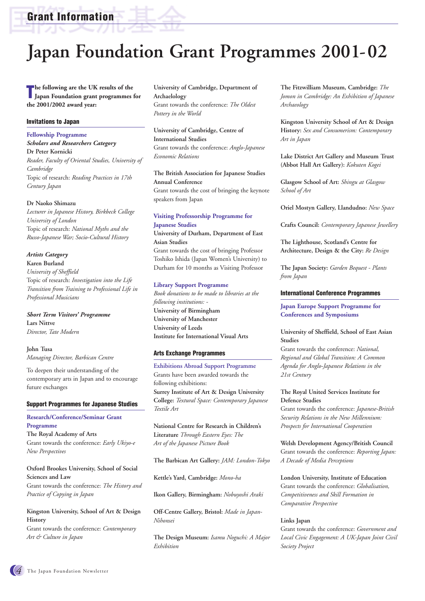**Grant Information**

# **Japan Foundation Grant Programmes 2001-02**

**The following are the UK results of the Japan Foundation grant programmes Japan Foundation grant programmes for the 2001/2002 award year:** 

#### **Invitations to Japan**

#### **Fellowship Programme**

*Scholars and Researchers Category* **Dr Peter Kornicki** *Reader, Faculty of Oriental Studies, University of Cambridge* Topic of research: *Reading Practices in 17th Century Japan*

#### **Dr Naoko Shimazu**

*Lecturer in Japanese History, Birkbeck College University of London* Topic of research: *National Myths and the Russo-Japanese War; Socio-Cultural History*

#### *Artists Category* **Karen Burland**

*University of Sheffield* Topic of research: *Investigation into the Life Transition from Training to Professional Life in Professional Musicians*

*Short Term Visitors' Programme* **Lars Nittve** *Director, Tate Modern*

**John Tusa**

*Managing Director, Barbican Centre* 

To deepen their understanding of the contemporary arts in Japan and to encourage future exchanges

#### **Support Programmes for Japanese Studies**

#### **Research/Conference/Seminar Grant Programme**

**The Royal Academy of Arts** Grant towards the conference: *Early Ukiyo-e New Perspectives*

#### **Oxford Brookes University, School of Social Sciences and Law**

Grant towards the conference: *The History and Practice of Copying in Japan*

#### **Kingston University, School of Art & Design History**

Grant towards the conference: *Contemporary Art & Culture in Japan*

**University of Cambridge, Department of Archaelology**  Grant towards the conference: *The Oldest Pottery in the World*

#### **University of Cambridge, Centre of International Studies** Grant towards the conference: *Anglo-Japanese Economic Relations*

#### **The British Association for Japanese Studies Annual Conference** Grant towards the cost of bringing the keynote speakers from Japan

#### **Visiting Professorship Programme for Japanese Studies**

**University of Durham, Department of East Asian Studies**

Grant towards the cost of bringing Professor Toshiko Ishida (Japan Women's University) to Durham for 10 months as Visiting Professor

#### **Library Support Programme**

*Book donations to be made to libraries at the following institutions: -* **University of Birmingham University of Manchester University of Leeds Institute for International Visual Arts**

#### **Arts Exchange Programmes**

**Exhibitions Abroad Support Programme** Grants have been awarded towards the following exhibitions: **Surrey Institute of Art & Design University College:** *Textural Space: Contemporary Japanese Textile Art*

**National Centre for Research in Children's Literature** *Through Eastern Eyes: The Art of the Japanese Picture Book*

**The Barbican Art Gallery:** *JAM: London-Tokyo*

**Kettle's Yard, Cambridge:** *Mono-ha*

**Ikon Gallery, Birmingham:** *Nobuyoshi Araki*

**Off-Centre Gallery, Bristol:** *Made in Japan-Nihonsei*

**The Design Museum:** *Isamu Noguchi: A Major Exhibition*

**The Fitzwilliam Museum, Cambridge:** *The Jomon in Cambridge: An Exhibition of Japanese Archaeology*

**Kingston University School of Art & Design History:** *Sex and Consumerism: Contemporary Art in Japan*

**Lake District Art Gallery and Museum Trust (Abbot Hall Art Gallery):** *Kokuten Kogei*

**Glasgow School of Art:** *Shingu at Glasgow School of Art*

**Oriel Mostyn Gallery, Llandudno:** *New Space*

**Crafts Council:** *Contemporary Japanese Jewellery*

**The Lighthouse, Scotland's Centre for Architecture, Design & the City:** *Re Design*

**The Japan Society:** *Garden Bequest - Plants from Japan*

#### **International Conference Programmes**

**Japan Europe Support Programme for Conferences and Symposiums**

#### **University of Sheffield, School of East Asian Studies**

Grant towards the conference: *National, Regional and Global Transition: A Common Agenda for Anglo-Japanese Relations in the 21st Century*

#### **The Royal United Services Institute for Defence Studies**

Grant towards the conference: *Japanese-British Security Relations in the New Millennium: Prospects for International Cooperation*

**Welsh Development Agency/British Council** Grant towards the conference: *Reporting Japan: A Decade of Media Perceptions*

**London University, Institute of Education** Grant towards the conference: *Globalisation, Competitiveness and Skill Formation in Comparative Perspective*

#### **Links Japan**

Grant towards the conference: *Government and Local Civic Engagement: A UK-Japan Joint Civil Society Project*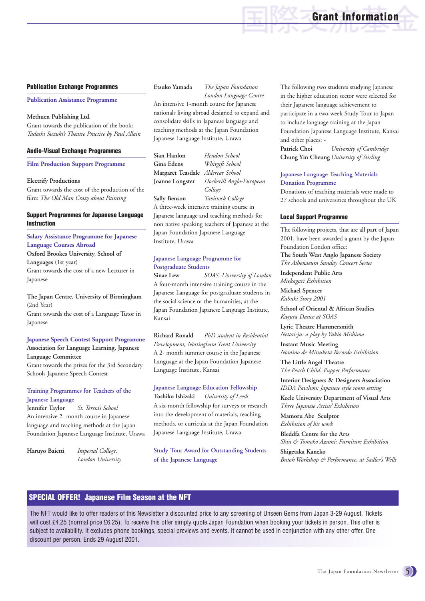### **Grant Information**

#### **Publication Exchange Programmes**

**Publication Assistance Programme**

#### **Methuen Publishing Ltd.**

Grant towards the publication of the book: *Tadashi Suzuki's Theatre Practice by Paul Allain*

#### **Audio-Visual Exchange Programmes**

#### **Film Production Support Programme**

#### **Electrify Productions**

Grant towards the cost of the production of the film: *The Old Man Crazy about Painting*

#### **Support Programmes for Japanese Language Instruction**

**Salary Assistance Programme for Japanese Language Courses Abroad Oxford Brookes University, School of Languages** (1st year) Grant towards the cost of a new Lecturer in Japanese

**The Japan Centre, University of Birmingham** (2nd Year) Grant towards the cost of a Language Tutor in Japanese

#### **Japanese Speech Contest Support Programme Association for Language Learning, Japanese**

**Language Committee** Grant towards the prizes for the 3rd Secondary

Schools Japanese Speech Contest

#### **Training Programmes for Teachers of the Japanese Language**

**Jennifer Taylor** *St. Teresa's School* An intensive 2- month course in Japanese language and teaching methods at the Japan Foundation Japanese Language Institute, Urawa

**Haruyo Baietti** *Imperial College, London University* 

#### **Etsuko Yamada** *The Japan Foundation*

*London Language Centre* An intensive 1-month course for Japanese nationals living abroad designed to expand and consolidate skills in Japanese language and teaching methods at the Japan Foundation Japanese Language Institute, Urawa

**Sian Hanlon** *Hendon School* **Gina Edens** *Whitgift School* **Margaret Teasdale** *Aldercar School* **Joanne Longster** *Hockerill Anglo-European College* **Sally Benson** *Tavistock College*

A three-week intensive training course in Japanese language and teaching methods for non native speaking teachers of Japanese at the Japan Foundation Japanese Language Institute, Urawa

#### **Japanese Language Programme for Postgraduate Students**

**Sinae Lew** *SOAS, University of London* A four-month intensive training course in the Japanese Language for postgraduate students in the social science or the humanities, at the Japan Foundation Japanese Language Institute, Kansai

**Richard Ronald** *PhD student in Residential Development, Nottingham Trent University* A 2- month summer course in the Japanese Language at the Japan Foundation Japanese Language Institute, Kansai

#### **Japanese Language Education Fellowship**

**Toshiko Ishizaki** *University of Leeds* A six-month fellowship for surveys or research into the development of materials, teaching methods, or curricula at the Japan Foundation Japanese Language Institute, Urawa

**Study Tour Award for Outstanding Students of the Japanese Language**

The following two students studying Japanese in the higher education sector were selected for their Japanese language achievement to participate in a two-week Study Tour to Japan to include language training at the Japan Foundation Japanese Language Institute, Kansai and other places: -

**Patrick Choi** *University of Cambridge* **Chung Yin Cheung** *University of Stirling*

#### **Japanese Language Teaching Materials Donation Programme**

Donations of teaching materials were made to 27 schools and universities throughout the UK

#### **Local Support Programme**

The following projects, that are all part of Japan 2001, have been awarded a grant by the Japan Foundation London office: **The South West Anglo Japanese Society** *The Athenaeum Sunday Concert Series*

**Independent Public Arts** *Miekagari Exhibition*

**Michael Spencer** *Kabuki Story 2001*

**School of Oriental & African Studies** *Kagura Dance at SOAS*

**Lyric Theatre Hammersmith** *Nettai-ju: a play by Yukio Mishima*

**Instant Music Meeting** *Nomino de Mitsuketa Recordo Exhibition*

**The Little Angel Theatre** *The Peach Child: Puppet Performance*

**Interior Designers & Designers Association** *IDDA Pavilion: Japanese style room setting*

**Keele University Department of Visual Arts** *Three Japanese Artists' Exhibition*

**Mamoru Abe Sculptor** *Exhibition of his work*

**Bleddfa Centre for the Arts** *Shin & Tomoko Azumi: Furniture Exhibition*

**Shigetaka Kaneko** *Butoh Workshop & Performance, at Sadler's Wells* 

#### **SPECIAL OFFER! Japanese Film Season at the NFT**

The NFT would like to offer readers of this Newsletter a discounted price to any screening of Unseen Gems from Japan 3-29 August. Tickets will cost £4.25 (normal price £6.25). To receive this offer simply quote Japan Foundation when booking your tickets in person. This offer is subject to availability. It excludes phone bookings, special previews and events. It cannot be used in conjunction with any other offer. One discount per person. Ends 29 August 2001.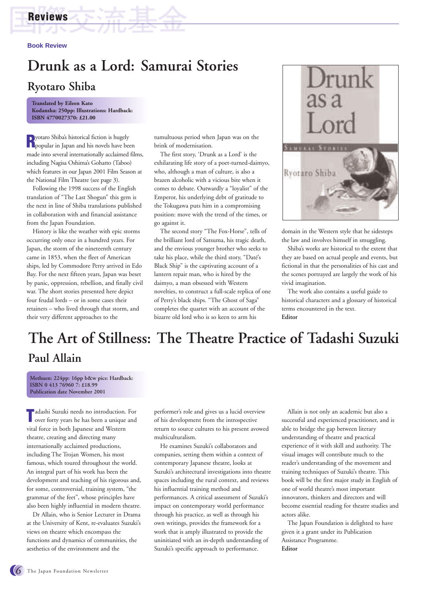### **Reviews**

**Book Review**

# **Drunk as a Lord: Samurai Stories Ryotaro Shiba**

**Translated by Eileen Kato Kodansha: 250pp: Illustrations: Hardback: ISBN 4770027370: £21.00**

**R**yotaro Shiba's historical fiction is hugely<br>**R**opular in Japan and his novels have been made into several internationally acclaimed films, including Nagisa Oshima's Gohatto (Taboo) which features in our Japan 2001 Film Season at the National Film Theatre (see page 3).

Following the 1998 success of the English translation of "The Last Shogun" this gem is the next in line of Shiba translations published in collaboration with and financial assistance from the Japan Foundation.

History is like the weather with epic storms occurring only once in a hundred years. For Japan, the storm of the nineteenth century came in 1853, when the fleet of American ships, led by Commodore Perry arrived in Edo Bay. For the next fifteen years, Japan was beset by panic, oppression, rebellion, and finally civil war. The short stories presented here depict four feudal lords – or in some cases their retainers – who lived through that storm, and their very different approaches to the

tumultuous period when Japan was on the brink of modernisation.

The first story, 'Drunk as a Lord' is the exhilarating life story of a poet-turned-daimyo, who, although a man of culture, is also a brazen alcoholic with a vicious bite when it comes to debate. Outwardly a "loyalist" of the Emperor, his underlying debt of gratitude to the Tokugawa puts him in a compromising position: move with the trend of the times, or go against it.

The second story "The Fox-Horse", tells of the brilliant lord of Satsuma, his tragic death, and the envious younger brother who seeks to take his place, while the third story, "Daté's Black Ship" is the captivating account of a lantern repair man, who is hired by the daimyo, a man obsessed with Western novelties, to construct a full-scale replica of one of Perry's black ships. "The Ghost of Saga" completes the quartet with an account of the bizarre old lord who is so keen to arm his



domain in the Western style that he sidesteps the law and involves himself in smuggling.

Shiba's works are historical to the extent that they are based on actual people and events, but fictional in that the personalities of his cast and the scenes portrayed are largely the work of his vivid imagination.

The work also contains a useful guide to historical characters and a glossary of historical terms encountered in the text. **Editor**

# **The Art of Stillness: The Theatre Practice of Tadashi Suzuki**

### **Paul Allain**

**Methuen: 224pp: 16pp b&w pics: Hardback: ISBN 0 413 76960 7: £18.99 Publication date November 2001**

**T** adashi Suzuki needs no introduction. For over forty years he has been a unique and over forty years he has been a unique and vital force in both Japanese and Western theatre, creating and directing many internationally acclaimed productions, including The Trojan Women, his most famous, which toured throughout the world. An integral part of his work has been the development and teaching of his rigorous and, for some, controversial, training system, "the grammar of the feet", whose principles have also been highly influential in modern theatre.

Dr Allain, who is Senior Lecturer in Drama at the University of Kent, re-evaluates Suzuki's views on theatre which encompass the functions and dynamics of communities, the aesthetics of the environment and the

performer's role and gives us a lucid overview of his development from the introspective return to source cultures to his present avowed multiculturalism.

He examines Suzuki's collaborators and companies, setting them within a context of contemporary Japanese theatre, looks at Suzuki's architectural investigations into theatre spaces including the rural context, and reviews his influential training method and performances. A critical assessment of Suzuki's impact on contemporary world performance through his practice, as well as through his own writings, provides the framework for a work that is amply illustrated to provide the uninitiated with an in-depth understanding of Suzuki's specific approach to performance.

Allain is not only an academic but also a successful and experienced practitioner, and is able to bridge the gap between literary understanding of theatre and practical experience of it with skill and authority. The visual images will contribute much to the reader's understanding of the movement and training techniques of Suzuki's theatre. This book will be the first major study in English of one of world theatre's most important innovators, thinkers and directors and will become essential reading for theatre studies and actors alike.

The Japan Foundation is delighted to have given it a grant under its Publication Assistance Programme. **Editor**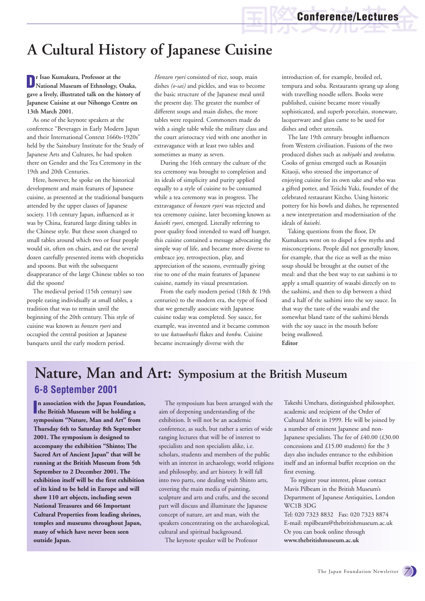# **A Cultural History of Japanese Cuisine**

**Dr Isao Kumakura, Professor at the National Museum of Ethnology, Osaka, gave a lively, illustrated talk on the history of Japanese Cuisine at our Nihongo Centre on 13th March 2001.** 

As one of the keynote speakers at the conference "Beverages in Early Modern Japan and their International Context 1660s-1920s" held by the Sainsbury Institute for the Study of Japanese Arts and Cultures, he had spoken there on Gender and the Tea Ceremony in the 19th and 20th Centuries.

Here, however, he spoke on the historical development and main features of Japanese cuisine, as presented at the traditional banquets attended by the upper classes of Japanese society. 11th century Japan, influenced as it was by China, featured large dining tables in the Chinese style. But these soon changed to small tables around which two or four people would sit, often on chairs, and eat the several dozen carefully presented items with chopsticks and spoons. But with the subsequent disappearance of the large Chinese tables so too did the spoons!

The medieval period (15th century) saw people eating individually at small tables, a tradition that was to remain until the beginning of the 20th century. This style of cuisine was known as *honzen ryori* and occupied the central position at Japanese banquets until the early modern period.

*Honzen ryori* consisted of rice, soup, main dishes *(o-sai)* and pickles, and was to become the basic structure of the Japanese meal until the present day. The greater the number of different soups and main dishes, the more tables were required. Commoners made do with a single table while the military class and the court aristocracy vied with one another in extravagance with at least two tables and sometimes as many as seven.

During the 16th century the culture of the tea ceremony was brought to completion and its ideals of simplicity and purity applied equally to a style of cuisine to be consumed while a tea ceremony was in progress. The extravagance of *honzen ryori* was rejected and tea ceremony cuisine, later becoming known as *kaiseki ryori*, emerged. Literally referring to poor quality food intended to ward off hunger, this cuisine contained a message advocating the simple way of life, and became more diverse to embrace joy, retrospection, play, and appreciation of the seasons, eventually giving rise to one of the main features of Japanese cuisine, namely its visual presentation.

From the early modern period (18th & 19th centuries) to the modern era, the type of food that we generally associate with Japanese cuisine today was completed. Soy sauce, for example, was invented and it became common to use *katsuobushi* flakes and *konbu*. Cuisine became increasingly diverse with the

introduction of, for example, broiled eel, tempura and soba. Restaurants sprang up along with travelling noodle sellers. Books were published, cuisine became more visually sophisticated, and superb porcelain, stoneware, lacquerware and glass came to be used for dishes and other utensils.

The late 19th century brought influences from Western civilisation. Fusions of the two produced dishes such as *sukiyaki* and *tonkatsu*. Cooks of genius emerged such as Rosanjin Kitaoji, who stressed the importance of enjoying cuisine for its own sake and who was a gifted potter, and Teiichi Yuki, founder of the celebrated restaurant Kitcho. Using historic pottery for his bowls and dishes, he represented a new interpretation and modernisation of the ideals of *kaiseki*.

Taking questions from the floor, Dr Kumakura went on to dispel a few myths and misconceptions. People did not generally know, for example, that the rice as well as the miso soup should be brought at the outset of the meal: and that the best way to eat sashimi is to apply a small quantity of wasabi directly on to the sashimi, and then to dip between a third and a half of the sashimi into the soy sauce. In that way the taste of the wasabi and the somewhat bland taste of the sashimi blends with the soy sauce in the mouth before being swallowed. **Editor**

### **Nature, Man and Art: Symposium at the British Museum 6-8 September 2001**

**I the British Museum will be holding a n association with the Japan Foundation, symposium "Nature, Man and Art" from Thursday 6th to Saturday 8th September 2001. The symposium is designed to accompany the exhibition "Shinto; The Sacred Art of Ancient Japan" that will be running at the British Museum from 5th September to 2 December 2001. The exhibition itself will be the first exhibition of its kind to be held in Europe and will show 110 art objects, including seven National Treasures and 66 Important Cultural Properties from leading shrines, temples and museums throughout Japan, many of which have never been seen outside Japan.**

The symposium has been arranged with the aim of deepening understanding of the exhibition. It will not be an academic conference, as such, but rather a series of wide ranging lectures that will be of interest to specialists and non specialists alike, i.e. scholars, students and members of the public with an interest in archaeology, world religions and philosophy, and art history. It will fall into two parts, one dealing with Shinto arts, covering the main media of painting, sculpture and arts and crafts, and the second part will discuss and illuminate the Japanese concept of nature, art and man, with the speakers concentrating on the archaeological, cultural and spiritual background.

The keynote speaker will be Professor

Takeshi Umehara, distinguished philosopher, academic and recipient of the Order of Cultural Merit in 1999. He will be joined by a number of eminent Japanese and non-Japanese specialists. The fee of £40.00 (£30.00 concessions and £15.00 students) for the 3 days also includes entrance to the exhibition itself and an informal buffet reception on the first evening.

To register your interest, please contact Mavis Pilbeam in the British Museum's Department of Japanese Antiquities, London WC1B 3DG

Tel: 020 7323 8832 Fax: 020 7323 8874 E-mail: mpilbeam@thebritishmuseum.ac.uk Or you can book online through **www.thebritishmuseum.ac.uk**